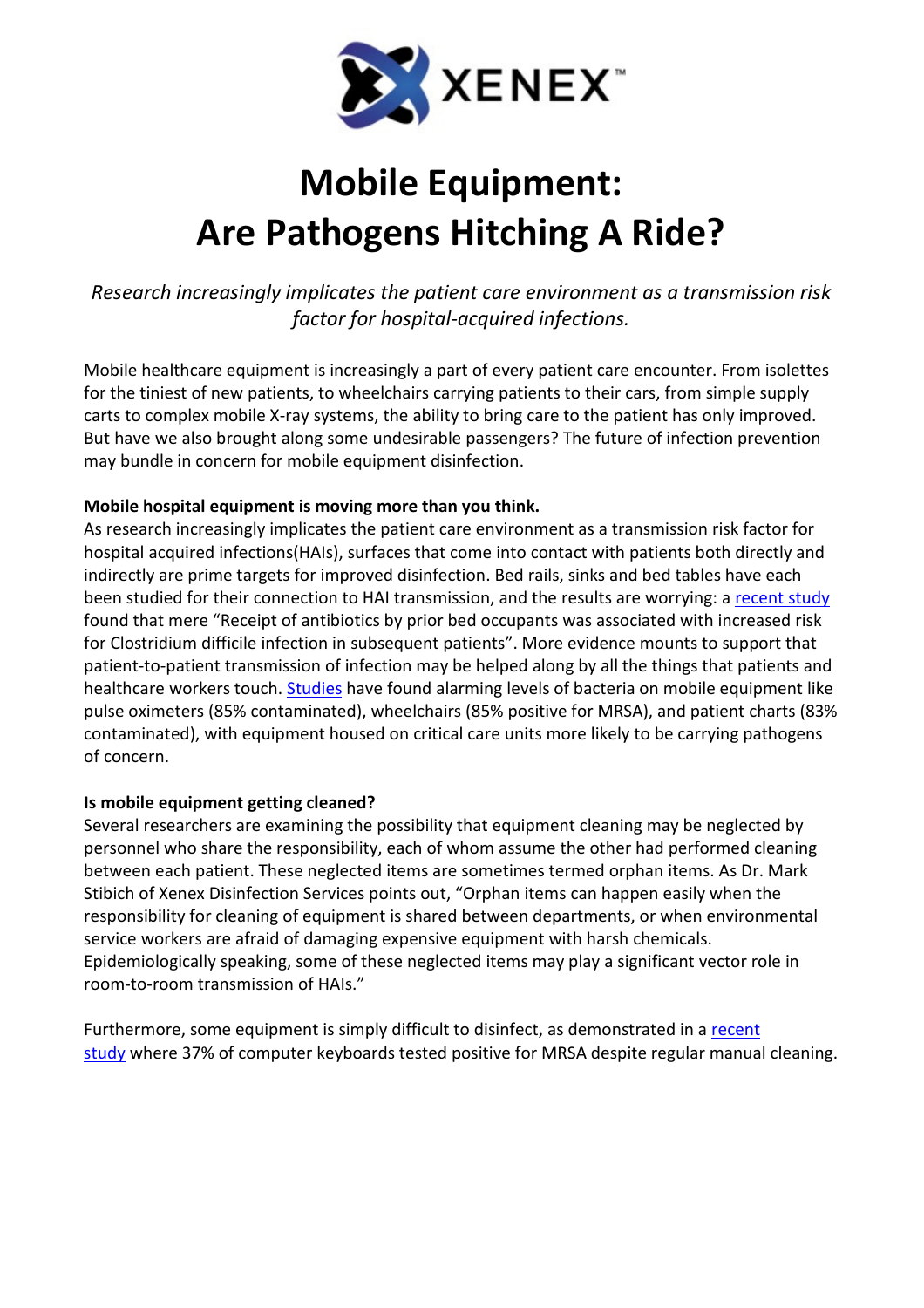

## Mobile Equipment: Are Pathogens Hitching A Ride?

Research increasingly implicates the patient care environment as a transmission risk factor for hospital-acquired infections.

Mobile healthcare equipment is increasingly a part of every patient care encounter. From isolettes for the tiniest of new patients, to wheelchairs carrying patients to their cars, from simple supply carts to complex mobile X-ray systems, the ability to bring care to the patient has only improved. But have we also brought along some undesirable passengers? The future of infection prevention may bundle in concern for mobile equipment disinfection.

## Mobile hospital equipment is moving more than you think.

As research increasingly implicates the patient care environment as a transmission risk factor for hospital acquired infections(HAIs), surfaces that come into contact with patients both directly and indirectly are prime targets for improved disinfection. Bed rails, sinks and bed tables have each been studied for their connection to HAI transmission, and the results are worrying: a recent study found that mere "Receipt of antibiotics by prior bed occupants was associated with increased risk for Clostridium difficile infection in subsequent patients". More evidence mounts to support that patient-to-patient transmission of infection may be helped along by all the things that patients and healthcare workers touch. Studies have found alarming levels of bacteria on mobile equipment like pulse oximeters (85% contaminated), wheelchairs (85% positive for MRSA), and patient charts (83% contaminated), with equipment housed on critical care units more likely to be carrying pathogens of concern.

## Is mobile equipment getting cleaned?

Several researchers are examining the possibility that equipment cleaning may be neglected by personnel who share the responsibility, each of whom assume the other had performed cleaning between each patient. These neglected items are sometimes termed orphan items. As Dr. Mark Stibich of Xenex Disinfection Services points out, "Orphan items can happen easily when the responsibility for cleaning of equipment is shared between departments, or when environmental service workers are afraid of damaging expensive equipment with harsh chemicals. Epidemiologically speaking, some of these neglected items may play a significant vector role in room-to-room transmission of HAIs."

Furthermore, some equipment is simply difficult to disinfect, as demonstrated in a recent study where 37% of computer keyboards tested positive for MRSA despite regular manual cleaning.